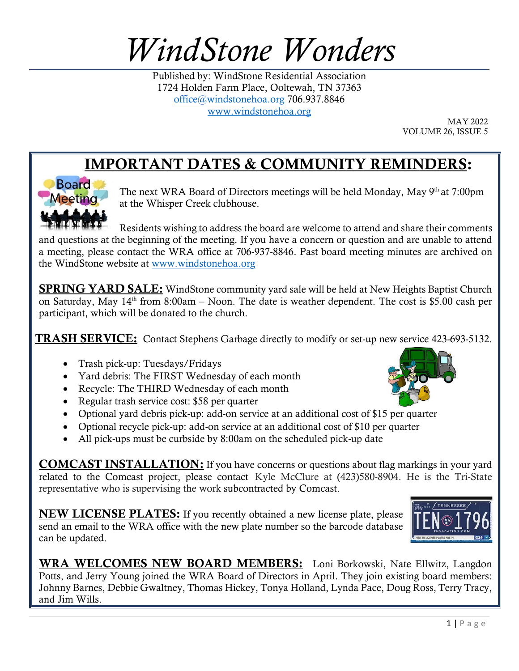## *WindStone Wonders*

Published by: WindStone Residential Association 1724 Holden Farm Place, Ooltewah, TN 37363 [office@windstonehoa.org](mailto:office@windstonehoa.org) 706.937.8846 [www.windstonehoa.org](http://www.windstonehoa.org/)

MAY 2022 VOLUME 26, ISSUE 5

## IMPORTANT DATES & COMMUNITY REMINDERS:



The next WRA Board of Directors meetings will be held Monday, May 9<sup>th</sup> at 7:00pm at the Whisper Creek clubhouse.

Residents wishing to address the board are welcome to attend and share their comments and questions at the beginning of the meeting. If you have a concern or question and are unable to attend a meeting, please contact the WRA office at 706-937-8846. Past board meeting minutes are archived on the WindStone website at www.windstonehoa.org

**SPRING YARD SALE:** WindStone community yard sale will be held at New Heights Baptist Church on Saturday, May  $14<sup>th</sup>$  from 8:00am – Noon. The date is weather dependent. The cost is \$5.00 cash per participant, which will be donated to the church.

**TRASH SERVICE:** Contact Stephens Garbage directly to modify or set-up new service 423-693-5132.

- Trash pick-up: Tuesdays/Fridays
- Yard debris: The FIRST Wednesday of each month
- Recycle: The THIRD Wednesday of each month
- Regular trash service cost: \$58 per quarter
- Optional yard debris pick-up: add-on service at an additional cost of \$15 per quarter
- Optional recycle pick-up: add-on service at an additional cost of \$10 per quarter
- All pick-ups must be curbside by 8:00am on the scheduled pick-up date

COMCAST INSTALLATION: If you have concerns or questions about flag markings in your yard related to the Comcast project, please contact Kyle McClure at (423)580-8904. He is the Tri-State representative who is supervising the work subcontracted by Comcast.

**NEW LICENSE PLATES:** If you recently obtained a new license plate, please send an email to the WRA office with the new plate number so the barcode database can be updated.

WRA WELCOMES NEW BOARD MEMBERS: Loni Borkowski, Nate Ellwitz, Langdon Potts, and Jerry Young joined the WRA Board of Directors in April. They join existing board members: Johnny Barnes, Debbie Gwaltney, Thomas Hickey, Tonya Holland, Lynda Pace, Doug Ross, Terry Tracy, and Jim Wills.



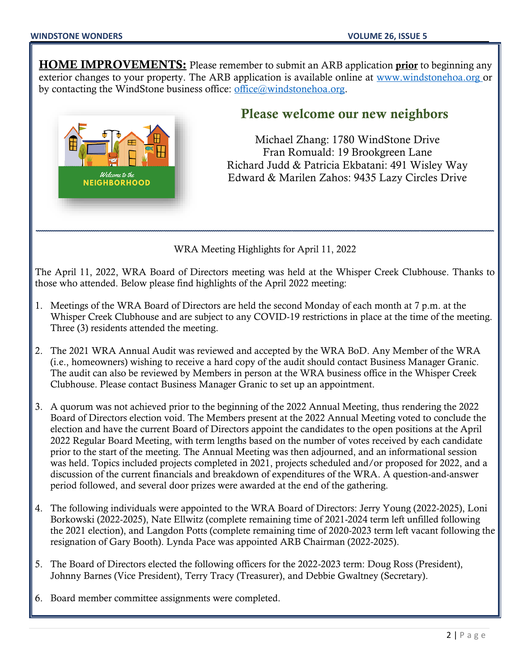**HOME IMPROVEMENTS:** Please remember to submit an ARB application **prior** to beginning any exterior changes to your property. The ARB application is available online at www.windstonehoa.org or by contacting the WindStone business office: office@windstonehoa.org.



## Please welcome our new neighbors

Michael Zhang: 1780 WindStone Drive Fran Romuald: 19 Brookgreen Lane Richard Judd & Patricia Ekbatani: 491 Wisley Way Edward & Marilen Zahos: 9435 Lazy Circles Drive

WRA Meeting Highlights for April 11, 2022

\_\_\_\_\_\_\_\_\_\_\_\_\_\_\_\_\_\_\_\_\_\_\_\_\_\_\_\_\_\_\_\_\_\_\_\_\_\_\_\_\_\_\_\_\_\_\_\_\_\_\_\_\_\_\_\_\_\_\_\_\_\_\_\_\_\_\_\_\_\_\_\_\_\_\_\_\_\_\_\_\_\_\_\_\_\_\_\_\_\_\_\_\_\_

The April 11, 2022, WRA Board of Directors meeting was held at the Whisper Creek Clubhouse. Thanks to those who attended. Below please find highlights of the April 2022 meeting:

- 1. Meetings of the WRA Board of Directors are held the second Monday of each month at 7 p.m. at the Whisper Creek Clubhouse and are subject to any COVID-19 restrictions in place at the time of the meeting. Three (3) residents attended the meeting.
- 2. The 2021 WRA Annual Audit was reviewed and accepted by the WRA BoD. Any Member of the WRA (i.e., homeowners) wishing to receive a hard copy of the audit should contact Business Manager Granic. The audit can also be reviewed by Members in person at the WRA business office in the Whisper Creek Clubhouse. Please contact Business Manager Granic to set up an appointment.
- 3. A quorum was not achieved prior to the beginning of the 2022 Annual Meeting, thus rendering the 2022 Board of Directors election void. The Members present at the 2022 Annual Meeting voted to conclude the election and have the current Board of Directors appoint the candidates to the open positions at the April 2022 Regular Board Meeting, with term lengths based on the number of votes received by each candidate prior to the start of the meeting. The Annual Meeting was then adjourned, and an informational session was held. Topics included projects completed in 2021, projects scheduled and/or proposed for 2022, and a discussion of the current financials and breakdown of expenditures of the WRA. A question-and-answer period followed, and several door prizes were awarded at the end of the gathering.
- 4. The following individuals were appointed to the WRA Board of Directors: Jerry Young (2022-2025), Loni Borkowski (2022-2025), Nate Ellwitz (complete remaining time of 2021-2024 term left unfilled following the 2021 election), and Langdon Potts (complete remaining time of 2020-2023 term left vacant following the resignation of Gary Booth). Lynda Pace was appointed ARB Chairman (2022-2025).
- 5. The Board of Directors elected the following officers for the 2022-2023 term: Doug Ross (President), Johnny Barnes (Vice President), Terry Tracy (Treasurer), and Debbie Gwaltney (Secretary).
- 6. Board member committee assignments were completed.